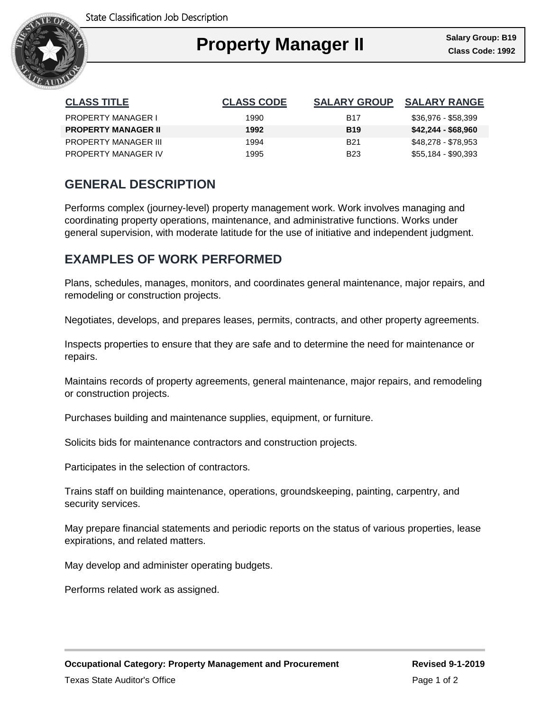

| <b>CLASS TITLE</b>          | <b>CLASS CODE</b> | <b>SALARY GROUP</b> | <b>SALARY RANGE</b> |
|-----------------------------|-------------------|---------------------|---------------------|
| <b>PROPERTY MANAGER I</b>   | 1990              | <b>B17</b>          | \$36.976 - \$58.399 |
| <b>PROPERTY MANAGER II</b>  | 1992              | <b>B19</b>          | \$42,244 - \$68,960 |
| <b>PROPERTY MANAGER III</b> | 1994              | <b>B21</b>          | \$48,278 - \$78,953 |
| PROPERTY MANAGER IV         | 1995              | <b>B23</b>          | \$55,184 - \$90,393 |

## **GENERAL DESCRIPTION**

Performs complex (journey-level) property management work. Work involves managing and coordinating property operations, maintenance, and administrative functions. Works under general supervision, with moderate latitude for the use of initiative and independent judgment.

## **EXAMPLES OF WORK PERFORMED**

Plans, schedules, manages, monitors, and coordinates general maintenance, major repairs, and remodeling or construction projects.

Negotiates, develops, and prepares leases, permits, contracts, and other property agreements.

Inspects properties to ensure that they are safe and to determine the need for maintenance or repairs.

Maintains records of property agreements, general maintenance, major repairs, and remodeling or construction projects.

Purchases building and maintenance supplies, equipment, or furniture.

Solicits bids for maintenance contractors and construction projects.

Participates in the selection of contractors.

Trains staff on building maintenance, operations, groundskeeping, painting, carpentry, and security services.

May prepare financial statements and periodic reports on the status of various properties, lease expirations, and related matters.

May develop and administer operating budgets.

Performs related work as assigned.